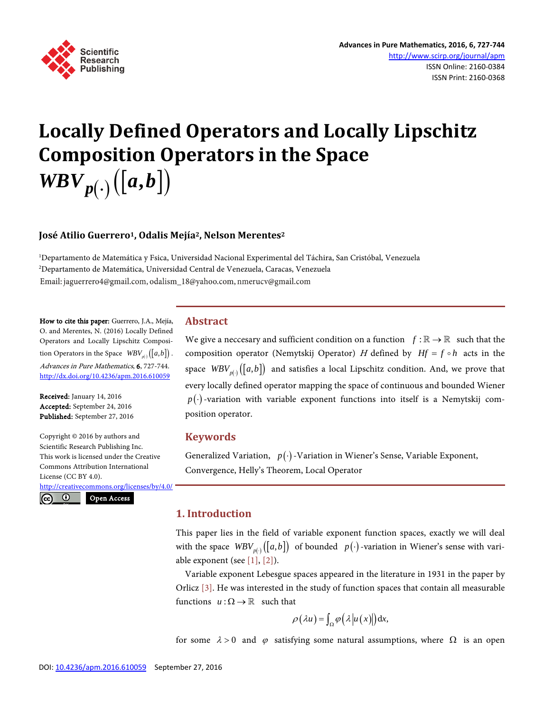

# **Locally Defined Operators and Locally Lipschitz Composition Operators in the Space**   $WBV_{p(.)}([a,b])$

# **José Atilio Guerrero1, Odalis Mejía2, Nelson Merentes2**

1 Departamento de Matemática y Fsica, Universidad Nacional Experimental del Táchira, San Cristóbal, Venezuela 2 Departamento de Matemática, Universidad Central de Venezuela, Caracas, Venezuela Email: jaguerrero4@gmail.com, odalism\_18@yahoo.com, nmerucv@gmail.com

How to cite this paper: Guerrero, J.A., Mejía, O. and Merentes, N. (2016) Locally Defined Operators and Locally Lipschitz Composition Operators in the Space  $WBV_{p(x)}([a,b])$ . Advances in Pure Mathematics, 6, 727-744. <http://dx.doi.org/10.4236/apm.2016.610059>

Received: January 14, 2016 Accepted: September 24, 2016 Published: September 27, 2016

 $\odot$ 

 $(cc)$ 

Copyright © 2016 by authors and Scientific Research Publishing Inc. This work is licensed under the Creative Commons Attribution International License (CC BY 4.0).

<http://creativecommons.org/licenses/by/4.0/> Open Access

**Abstract**

We give a neccesary and sufficient condition on a function  $f : \mathbb{R} \to \mathbb{R}$  such that the composition operator (Nemytskij Operator) H defined by  $Hf = f \circ h$  acts in the space  $WBV_{n(\cdot)}([a,b])$  and satisfies a local Lipschitz condition. And, we prove that every locally defined operator mapping the space of continuous and bounded Wiener  $p(\cdot)$ -variation with variable exponent functions into itself is a Nemytskij composition operator.

#### **Keywords**

Generalized Variation,  $p(\cdot)$ -Variation in Wiener's Sense, Variable Exponent, Convergence, Helly's Theorem, Local Operator

## **1. Introduction**

This paper lies in the field of variable exponent function spaces, exactly we will deal with the space  $WBV_{p(\cdot)}([a,b])$  of bounded  $p(\cdot)$ -variation in Wiener's sense with variable exponent (see  $[1]$ ,  $[2]$ ).

Variable exponent Lebesgue spaces appeared in the literature in 1931 in the paper by Orlicz  $[3]$ . He was interested in the study of function spaces that contain all measurable functions  $u : \Omega \to \mathbb{R}$  such that

$$
\rho(\lambda u) = \int_{\Omega} \varphi(\lambda |u(x)|) dx,
$$

for some  $\lambda > 0$  and  $\varphi$  satisfying some natural assumptions, where  $\Omega$  is an open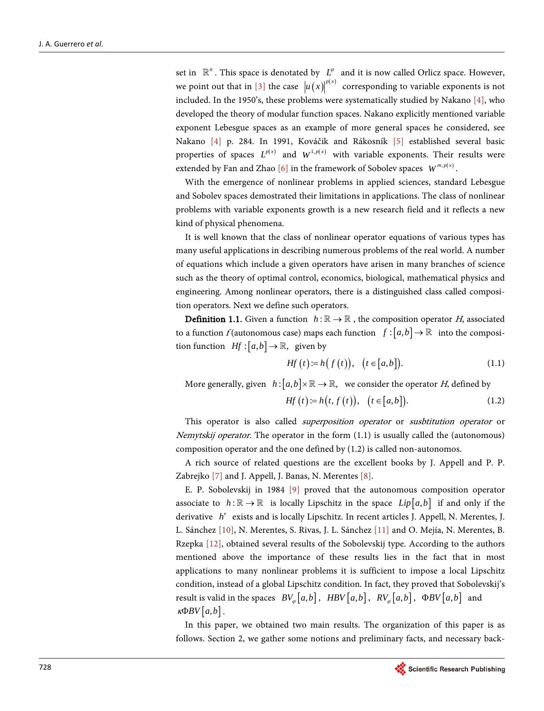set in  $\mathbb{R}^n$ . This space is denotated by  $L^{\varphi}$  and it is now called Orlicz space. However, we point out that in [\[3\]](#page-16-0) the case  $|u(x)|^{p(x)}$  corresponding to variable exponents is not included. In the 1950's, these problems were systematically studied by Nakano [\[4\],](#page-16-1) who developed the theory of modular function spaces. Nakano explicitly mentioned variable exponent Lebesgue spaces as an example of more general spaces he considered, see Nakano [\[4\]](#page-16-1) p. 284. In 1991, Kováčik and Rákosník [\[5\]](#page-16-2) established several basic properties of spaces  $L^{p(x)}$  and  $W^{1,p(x)}$  with variable exponents. Their results were extended by Fan and Zhao [\[6\]](#page-16-3) in the framework of Sobolev spaces  $W^{m,p(x)}$ .

With the emergence of nonlinear problems in applied sciences, standard Lebesgue and Sobolev spaces demostrated their limitations in applications. The class of nonlinear problems with variable exponents growth is a new research field and it reflects a new kind of physical phenomena.

It is well known that the class of nonlinear operator equations of various types has many useful applications in describing numerous problems of the real world. A number of equations which include a given operators have arisen in many branches of science such as the theory of optimal control, economics, biological, mathematical physics and engineering. Among nonlinear operators, there is a distinguished class called composition operators. Next we define such operators.

**Definition 1.1.** Given a function  $h : \mathbb{R} \to \mathbb{R}$ , the composition operator H, associated to a function f (autonomous case) maps each function  $f : [a,b] \to \mathbb{R}$  into the composition function  $Hf : [a, b] \to \mathbb{R}$ , given by

$$
Hf(t) := h(f(t)), \quad (t \in [a, b]).
$$
 (1.1)

More generally, given  $h: [a,b] \times \mathbb{R} \to \mathbb{R}$ , we consider the operator *H*, defined by

$$
Hf(t) := h(t, f(t)), \quad (t \in [a, b]).
$$
 (1.2)

This operator is also called *superposition operator* or *susbtitution operator* or Nemytskij operator. The operator in the form (1.1) is usually called the (autonomous) composition operator and the one defined by (1.2) is called non-autonomos.

A rich source of related questions are the excellent books by J. Appell and P. P. Zabrejko [\[7\]](#page-16-4) and J. Appell, J. Banas, N. Merente[s \[8\].](#page-16-5)

E. P. Sobolevskij in 1984 [\[9\]](#page-16-6) proved that the autonomous composition operator associate to  $h: \mathbb{R} \to \mathbb{R}$  is locally Lipschitz in the space  $Lip[a,b]$  if and only if the derivative *h*′ exists and is locally Lipschitz. In recent articles J. Appell, N. Merentes, J. L. Sánchez [\[10\],](#page-16-7) N. Merentes, S. Rivas, J. L. Sánchez [\[11\]](#page-16-8) and O. Mejía, N. Merentes, B. Rzepka [\[12\],](#page-16-9) obtained several results of the Sobolevskij type. According to the authors mentioned above the importance of these results lies in the fact that in most applications to many nonlinear problems it is sufficient to impose a local Lipschitz condition, instead of a global Lipschitz condition. In fact, they proved that Sobolevskij's result is valid in the spaces  $BV_{\varphi}[a,b], HBV[a,b], RV_{\varphi}[a,b], \Phi BV[a,b]$  and  $\kappa \Phi BV[a,b]$ .

In this paper, we obtained two main results. The organization of this paper is as follows. Section 2, we gather some notions and preliminary facts, and necessary back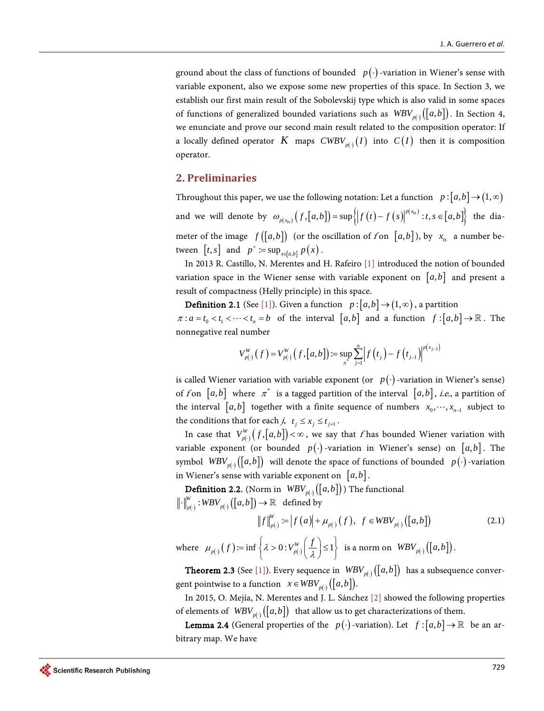ground about the class of functions of bounded  $p(\cdot)$ -variation in Wiener's sense with variable exponent, also we expose some new properties of this space. In Section 3, we establish our first main result of the Sobolevskij type which is also valid in some spaces of functions of generalized bounded variations such as  $WBV_{p(\cdot)}([a,b])$ . In Section 4, we enunciate and prove our second main result related to the composition operator: If a locally defined operator *K* maps  $CWBV_{p(·)}(I)$  into  $C(I)$  then it is composition operator.

# **2. Preliminaries**

Throughout this paper, we use the following notation: Let a function  $p : [a,b] \rightarrow (1,\infty)$ and we will denote by  $\omega_{p(x_n)}( f,[a,b]) = \sup \left\{ \left| f(t) - f(s) \right|^{ p(x_n)} : t, s \in [a,b] \right\}$  $\omega_{p(x_n)}(f,[a,b]) = \sup\{|f(t)-f(s)|^{p(x_n)}: t,s \in [a,b]\}\$ the diameter of the image  $f([a,b])$  (or the oscillation of f on  $[a,b]$ ), by  $x_{tx}$  a number between  $[t, s]$  and  $p^+ := \sup_{x \in [a, b]} p(x)$ .

In 2013 R. Castillo, N. Merentes and H. Rafeiro [\[1\]](#page-15-0) introduced the notion of bounded variation space in the Wiener sense with variable exponent on  $[a,b]$  and present a result of compactness (Helly principle) in this space.

**Definition 2.1** (See [\[1\]\)](#page-15-0). Given a function  $p:[a,b] \rightarrow (1,\infty)$ , a partition  $\pi : a = t_0 < t_1 < \cdots < t_n = b$  of the interval  $[a,b]$  and a function  $f : [a,b] \to \mathbb{R}$ . The nonnegative real number

$$
V_{p(\cdot)}^W(f) = V_{p(\cdot)}^W(f, [a, b]) := \sup_{\pi^*} \sum_{j=1}^n \left| f(t_j) - f(t_{j-1}) \right|^{p(x_{j-1})}
$$

is called Wiener variation with variable exponent (or  $p(\cdot)$ -variation in Wiener's sense) of f on  $[a,b]$  where  $\pi^*$  is a tagged partition of the interval  $[a,b]$ , *i.e.*, a partition of the interval  $[a,b]$  together with a finite sequence of numbers  $x_0, \dots, x_{n-1}$  subject to the conditions that for each  $j, t_j \leq x_j \leq t_{j+1}$ .

In case that  $V_{p(\cdot)}^W(f,[a,b]) < \infty$ , we say that f has bounded Wiener variation with variable exponent (or bounded  $p(\cdot)$ -variation in Wiener's sense) on  $|a,b|$ . The symbol  $WBV_{p(\cdot)}([a,b])$  will denote the space of functions of bounded  $p(\cdot)$ -variation in Wiener's sense with variable exponent on  $[a, b]$ .

**Definition 2.2.** (Norm in  $WBV_{p(\cdot)}([a, b])$ ) The functional  $\cdot \big\|_{p(\cdot)}^W : {WBV}_{p(\cdot)}\bigl( \bigl[ a,b \bigr] \bigr) \to \mathbb{R} \quad \text{defined by}$ 

$$
\|f\|_{p(\cdot)}^W := |f(a)| + \mu_{p(\cdot)}(f), \ f \in WBV_{p(\cdot)}([a,b])
$$
\n(2.1)

where  $\mu_{p(\cdot)}(f) := \inf \left\{ \lambda > 0 : V^W_{p(\cdot)}\left(\frac{f}{\lambda}\right) \le 1 \right\}$  is a norm on  $WBV_{p(\cdot)}([a, b]).$ 

**Theorem 2.3** (See [\[1\]\)](#page-15-0). Every sequence in  $WBV_{p(\cdot)}([a, b])$  has a subsequence convergent pointwise to a function  $x \in WBV_{n(i)}([a, b]).$ 

In 2015, O. Mejía, N. Merentes and J. L. Sánchez [\[2\]](#page-15-1) showed the following properties of elements of  $WBV_{p(x)}([a, b])$  that allow us to get characterizations of them.

**Lemma 2.4** (General properties of the  $p(\cdot)$ -variation). Let  $f:[a,b] \to \mathbb{R}$  be an arbitrary map. We have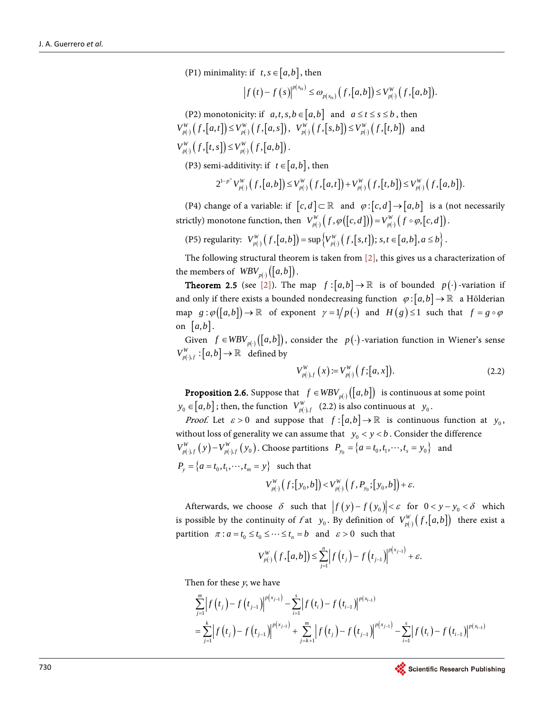(P1) minimality: if  $t, s \in [a, b]$ , then

$$
\left|f\left(t\right)-f\left(s\right)\right|^{p\left(x_{rs}\right)} \leq \omega_{p\left(x_{rs}\right)}\left(f,\left[a,b\right]\right) \leq V_{p\left(\cdot\right)}^{W}\left(f,\left[a,b\right]\right).
$$

(P2) monotonicity: if  $a, t, s, b \in [a, b]$  and  $a \le t \le s \le b$ , then  $V_{p(\cdot)}^W(f,[a,t]) \leq V_{p(\cdot)}^W(f,[a,s]), \ \ V_{p(\cdot)}^W(f,[s,b]) \leq V_{p(\cdot)}^W(f,[t,b])$  and  $V_{p(·)}^{W}\left( f,[t,s]\right) \leq V_{p(·)}^{W}\left( f,[a,b]\right).$ 

(P3) semi-additivity: if  $t \in [a, b]$ , then

$$
2^{1-p^+}V_{p(\cdot)}^W\left(f,\left[a,b\right]\right)\leq V_{p(\cdot)}^W\left(f,\left[a,t\right]\right)+V_{p(\cdot)}^W\left(f,\left[t,b\right]\right)\leq V_{p(\cdot)}^W\left(f,\left[a,b\right]\right).
$$

(P4) change of a variable: if  $[c, d] \subset \mathbb{R}$  and  $\varphi : [c, d] \rightarrow [a, b]$  is a (not necessarily strictly) monotone function, then  $V_{p(\cdot)}^W(f, \varphi([c, d])) = V_{p(\cdot)}^W(f \circ \varphi, [c, d])$ .

(P5) regularity:  $V_{p(\cdot)}^W(f,[a,b]) = \sup \{ V_{p(\cdot)}^W(f,[s,t]) ; s,t \in [a,b], a \le b \}$ .

The following structural theorem is taken from  $[2]$ , this gives us a characterization of the members of  $WBV_{p(\cdot)}([a, b]).$ 

**Theorem 2.5** (see [\[2\]\)](#page-15-1). The map  $f:[a,b]\to\mathbb{R}$  is of bounded  $p(\cdot)$ -variation if and only if there exists a bounded nondecreasing function  $\varphi$ :  $[a,b] \to \mathbb{R}$  a Hölderian map  $g : \varphi([a,b]) \to \mathbb{R}$  of exponent  $\gamma = 1/p(\cdot)$  and  $H(g) \le 1$  such that  $f = g \circ \varphi$ on  $[a,b]$ .

Given  $f \in WBV_{p(\cdot)}([a, b])$ , consider the  $p(\cdot)$ -variation function in Wiener's sense  $V_{p(\cdot),f}^W: [a,b] \to \mathbb{R}$  defined by

$$
V_{p(\cdot),f}^{W}\left(x\right) := V_{p(\cdot)}^{W}\left(f; [a, x]\right). \tag{2.2}
$$

**Proposition 2.6.** Suppose that  $f \in WBV_{p(.)}([a, b])$  is continuous at some point  $y_0 \in [a, b]$ ; then, the function  $V_{p(\cdot), f}^W$  (2.2) is also continuous at  $y_0$ .

*Proof.* Let  $\varepsilon > 0$  and suppose that  $f:[a,b] \to \mathbb{R}$  is continuous function at  $y_0$ , without loss of generality we can assume that  $y_0 < y < b$ . Consider the difference  $V_{p(\cdot),f}^W(y) - V_{p(\cdot),f}^W(y_0)$ . Choose partitions  $P_{y_0} = \{a = t_0, t_1, \dots, t_s = y_0\}$  and

 $P_{y} = \{a = t_0, t_1, \dots, t_m = y\}$  such that

$$
V_{p(\cdot)}^W(f; [y_0, b]) < V_{p(\cdot)}^W(f, P_{y_0}; [y_0, b]) + \varepsilon.
$$

Afterwards, we choose  $\delta$  such that  $|f(y)-f(y_0)| < \varepsilon$  for  $0 < y - y_0 < \delta$  which is possible by the continuity of f at  $y_0$ . By definition of  $V_{p(\cdot)}^W(f,[a,b])$  there exist a partition  $\pi$ :  $a = t_0 \le t_0 \le \dots \le t_n = b$  and  $\varepsilon > 0$  such that

$$
V_{p(\cdot)}^W\left(f,\left[a,b\right]\right)\leq \sum_{j=1}^n \left|f\left(t_j\right)-f\left(t_{j-1}\right)\right|^{p\left(x_{j-1}\right)}+\varepsilon.
$$

Then for these y, we have

$$
\sum_{j=1}^{m} \left| f(t_j) - f(t_{j-1}) \right|^{p(x_{j-1})} - \sum_{i=1}^{s} \left| f(t_i) - f(t_{i-1}) \right|^{p(x_{i-1})} \n= \sum_{j=1}^{k} \left| f(t_j) - f(t_{j-1}) \right|^{p(x_{j-1})} + \sum_{j=k+1}^{m} \left| f(t_j) - f(t_{j-1}) \right|^{p(x_{j-1})} - \sum_{i=1}^{s} \left| f(t_i) - f(t_{i-1}) \right|^{p(x_{i-1})}
$$

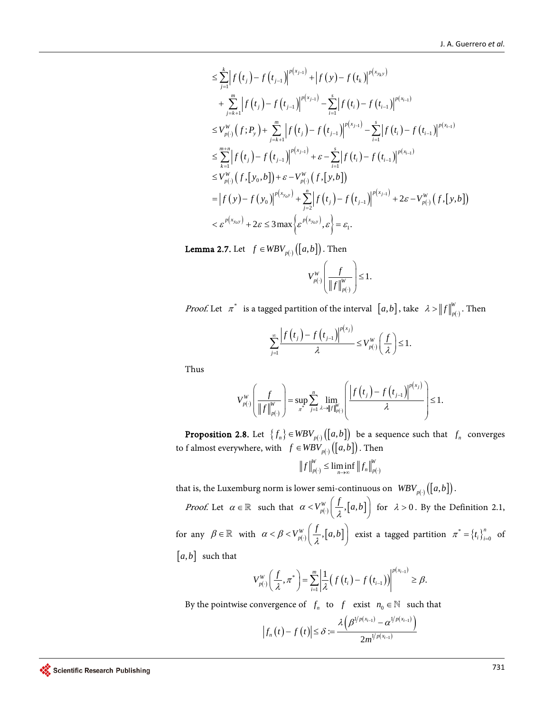$$
\leq \sum_{j=1}^{k} \left| f(t_{j}) - f(t_{j-1}) \right|^{p(x_{j-1})} + \left| f(y) - f(t_{k}) \right|^{p(x_{y_{k}y})} \n+ \sum_{j=k+1}^{m} \left| f(t_{j}) - f(t_{j-1}) \right|^{p(x_{j-1})} - \sum_{i=1}^{s} \left| f(t_{i}) - f(t_{i-1}) \right|^{p(x_{i-1})} \n\leq V_{p(\cdot)}^{W} (f; P_{y}) + \sum_{j=k+1}^{m} \left| f(t_{j}) - f(t_{j-1}) \right|^{p(x_{j-1})} - \sum_{i=1}^{s} \left| f(t_{i}) - f(t_{i-1}) \right|^{p(x_{i-1})} \n\leq \sum_{k=1}^{m+n} \left| f(t_{j}) - f(t_{j-1}) \right|^{p(x_{j-1})} + \varepsilon - \sum_{i=1}^{s} \left| f(t_{i}) - f(t_{i-1}) \right|^{p(x_{i-1})} \n\leq V_{p(\cdot)}^{W} (f, [y_{0}, b]) + \varepsilon - V_{p(\cdot)}^{W} (f, [y, b]) \n= \left| f(y) - f(y_{0}) \right|^{p(x_{y_{0}y})} + \sum_{j=2}^{n} \left| f(t_{j}) - f(t_{j-1}) \right|^{p(x_{j-1})} + 2\varepsilon - V_{p(\cdot)}^{W} (f, [y, b]) \n< \varepsilon^{p(x_{y_{0}y})} + 2\varepsilon \leq 3 \max \left\{ \varepsilon^{p(x_{y_{0}y})}, \varepsilon \right\} = \varepsilon_{1}.
$$

**Lemma 2.7.** Let  $f \in WBV_{p(\cdot)}([a, b])$ . Then

$$
V_{p(\cdot)}^W\left(\frac{f}{\left\|f\right\|_{p(\cdot)}^W}\right) \le 1.
$$

*Proof.* Let  $\pi^*$  is a tagged partition of the interval  $[a,b]$ , take  $\lambda > ||f||_{p(\cdot)}^W$ . Then

$$
\sum_{j=1}^{\infty} \frac{\left|f\left(t_j\right)-f\left(t_{j-1}\right)\right|^{p\left(x_j\right)}}{\lambda} \leq V_{p\left(\cdot\right)}^{W}\left(\frac{f}{\lambda}\right) \leq 1.
$$

Thus

$$
V_{p(\cdot)}^W\left(\frac{f}{\left\|f\right\|_{p(\cdot)}^W}\right) = \sup_{\pi^*} \sum_{j=1}^n \lim_{\lambda \to \left\|f\right\|_{p(\cdot)}^W} \left(\frac{\left|f\left(t_j\right) - f\left(t_{j-1}\right)\right|^{p(x_j)}}{\lambda}\right) \le 1.
$$

**Proposition 2.8.** Let  ${f_n \in WBV_{p(\cdot)}([a, b])}$  be a sequence such that  $f_n$  converges to f almost everywhere, with  $f \in WBV$   $(i, b]$ . Then

$$
\left\|f\right\|_{p(\cdot)}^W \le \liminf_{n\to\infty} \left\|f_n\right\|_{p(\cdot)}^W
$$

that is, the Luxemburg norm is lower semi-continuous on  $WBV_{p(\cdot)}([a, b]).$ 

*Proof.* Let  $\alpha \in \mathbb{R}$  such that  $\alpha < V_{p(\cdot)}^W \left( \frac{f}{\lambda}, [a, b] \right)$  for  $\lambda > 0$ . By the Definition 2.1, for any  $\beta \in \mathbb{R}$  with  $\alpha < \beta < V_{p(\cdot)}^W\left(\frac{f}{\lambda}, [a, b]\right)$  exist a tagged partition  $\pi^* = \{t_i\}_{i=0}^n$  $\pi^* = \left\{ t_i \right\}_{i=0}^n$  of  $[a, b]$  such that

$$
V_{p(\cdot)}^W\left(\frac{f}{\lambda}, \pi^*\right) = \sum_{i=1}^m \left| \frac{1}{\lambda} \left(f\left(t_i\right) - f\left(t_{i-1}\right)\right) \right|^{p(x_{i-1})} \geq \beta.
$$

By the pointwise convergence of  $f_n$  to  $f$  exist  $n_0 \in \mathbb{N}$  such that

$$
\left|f_n\left(t\right)-f\left(t\right)\right|\leq \delta:=\frac{\lambda\left(\beta^{1/p\left(x_{i-1}\right)}-\alpha^{1/p\left(x_{i-1}\right)}\right)}{2m^{1/p\left(x_{i-1}\right)}}
$$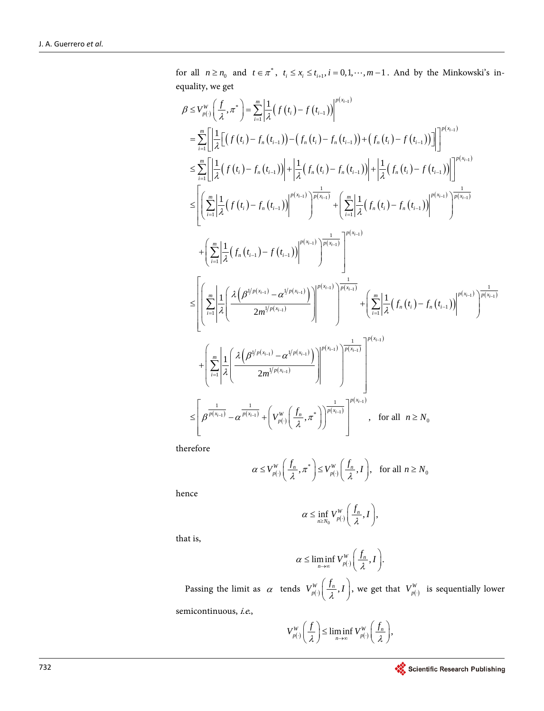for all  $n \ge n_0$  and  $t \in \pi^*$ ,  $t_i \le x_i \le t_{i+1}$ ,  $i = 0, 1, \dots, m-1$ . And by the Minkowski's inequality, we get

$$
\beta \leq V_{p(i)}^{W} \left( \frac{f}{\lambda}, \pi^* \right) = \sum_{i=1}^{m} \left| \frac{1}{\lambda} \left( f(t_i) - f(t_{i-1}) \right) \right|^{p(x_{i-1})}
$$
\n
$$
= \sum_{i=1}^{m} \left[ \left| \frac{1}{\lambda} \left[ \left( f(t_i) - f_n(t_{i-1}) \right) - \left( f_n(t_i) - f_n(t_{i-1}) \right) + \left( f_n(t_i) - f(t_{i-1}) \right) \right] \right|^{p(x_{i-1})}
$$
\n
$$
\leq \sum_{i=1}^{m} \left[ \left| \frac{1}{\lambda} \left( f(t_i) - f_n(t_{i-1}) \right) \right| + \left| \frac{1}{\lambda} \left( f_n(t_i) - f_n(t_{i-1}) \right) \right| + \left| \frac{1}{\lambda} \left( f_n(t_i) - f(t_{i-1}) \right) \right| \right|^{p(x_{i-1})}
$$
\n
$$
\leq \left[ \left( \sum_{i=1}^{m} \left| \frac{1}{\lambda} \left( f(t_i) - f_n(t_{i-1}) \right) \right|^{p(x_{i-1})} \right)^{\frac{1}{p(x_{i-1})}} + \left( \sum_{i=1}^{m} \left| \frac{1}{\lambda} \left( f_n(t_i) - f_n(t_{i-1}) \right) \right|^{p(x_{i-1})} \right)^{\frac{1}{p(x_{i-1})}}
$$
\n
$$
+ \left( \sum_{i=1}^{m} \left| \frac{1}{\lambda} \left( f_n(t_{i-1}) - f(t_{i-1}) \right) \right|^{p(x_{i-1})} \right)^{\frac{1}{p(x_{i-1})}}
$$
\n
$$
\leq \left[ \left( \sum_{i=1}^{m} \left| \frac{1}{\lambda} \left( \frac{\lambda \left( \beta^{1/p(x_{i-1})} - \alpha^{1/p(x_{i-1})} \right)}{\frac{2m^{1/p(x_{i-1})}}{\lambda}} \right) \right|^{p(x_{i-1})} \right]^{p(x_{i-1})}
$$
\n
$$
+ \left( \sum_{i=1}^{m} \left| \frac{1}{\lambda} \left( \frac{\lambda \left( \beta^{1/p(x_{i-1})} - \alpha^{1/p(x_{
$$

therefore

$$
\alpha \le V_{p(\cdot)}^W\bigg(\frac{f_n}{\lambda}, \pi^*\bigg) \le V_{p(\cdot)}^W\bigg(\frac{f_n}{\lambda}, I\bigg), \text{ for all } n \ge N_0
$$

hence

$$
\alpha \leq \inf_{n \geq N_0} V_{p(\cdot)}^W\bigg(\frac{f_n}{\lambda}, I\bigg),\,
$$

that is,

$$
\alpha \leq \liminf_{n \to \infty} V_{p(\cdot)}^W\bigg(\frac{f_n}{\lambda}, I\bigg).
$$

Passing the limit as  $\alpha$  tends  $V_{p(\cdot)}^W\left(\frac{f_n}{\lambda}, I\right)$ , we get that  $V_{p(\cdot)}^W$  is sequentially lower semicontinuous, i.e.,

$$
V_{p(\cdot)}^W\bigg(\frac{f}{\lambda}\bigg) \leq \liminf_{n \to \infty} V_{p(\cdot)}^W\bigg(\frac{f_n}{\lambda}\bigg),
$$

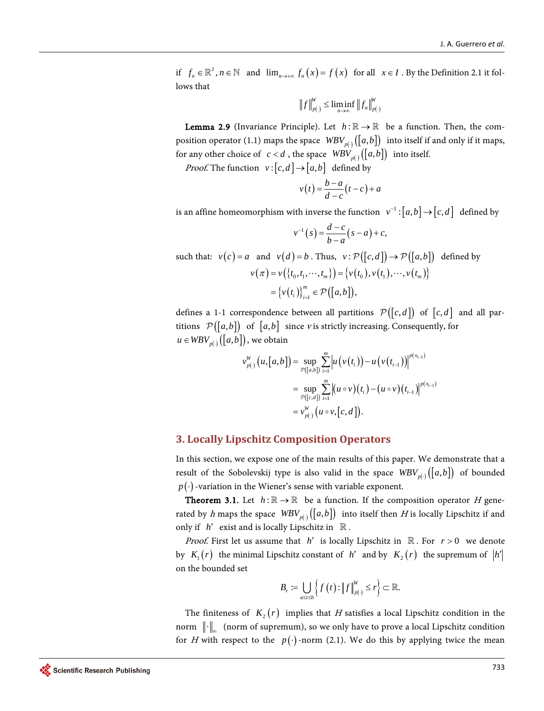if  $f_n \in \mathbb{R}^l$ ,  $n \in \mathbb{N}$  and  $\lim_{n \to \infty} f_n(x) = f(x)$  for all  $x \in I$ . By the Definition 2.1 it follows that

$$
\left\|f\right\|_{p(\cdot)}^W \le \liminf_{n\to\infty} \left\|f_n\right\|_{p(\cdot)}^W
$$

**Lemma 2.9** (Invariance Principle). Let  $h : \mathbb{R} \to \mathbb{R}$  be a function. Then, the composition operator (1.1) maps the space  $WBV_{p(\cdot)}([a, b])$  into itself if and only if it maps, for any other choice of *c* < *d*, the space  $WBV_{p(\cdot)}([a,b])$  into itself.

*Proof.* The function  $v : [c, d] \rightarrow [a, b]$  defined by

$$
v(t) = \frac{b-a}{d-c}(t-c) + a
$$

is an affine homeomorphism with inverse the function  $v^{-1} : [ a,b ] \rightarrow [ c,d ]$  defined by

$$
v^{-1}(s) = \frac{d-c}{b-a}(s-a) + c,
$$

such that:  $v(c) = a$  and  $v(d) = b$ . Thus,  $v : \mathcal{P}([c, d]) \to \mathcal{P}([a, b])$  defined by  $v(\pi) = v(\lbrace t_0, t_1, \cdots, t_m \rbrace) = \lbrace v(t_0), v(t_1), \cdots, v(t_m) \rbrace$  $\left\{ v(t_i) \right\}_{i=1}^m \in \mathcal{P}\bigl( \bigl[ a,b \bigr] \bigr),$  $=\left\{v(t_i)\right\}_{i=1}^m \in \mathcal{P}([a,b])$ 

defines a 1-1 correspondence between all partitions  $\mathcal{P}([c,d])$  of  $[c,d]$  and all partitions  $\mathcal{P}([a,b])$  of  $[a,b]$  since v is strictly increasing. Consequently, for  $u \in WBV_{p(\cdot)}([a, b]),$  we obtain

$$
v_{p(\cdot)}^W(u,[a,b]) = \sup_{p([a,b])} \sum_{i=1}^m \left| u(v(t_i))-u(v(t_{i-1})) \right|^{p(x_{i-1})}
$$
  
= 
$$
\sup_{p([c,d])} \sum_{i=1}^m \left| (u \circ v)(t_i) - (u \circ v)(t_{i-1}) \right|^{p(x_{i-1})}
$$
  
= 
$$
v_{p(\cdot)}^W(u \circ v,[c,d]).
$$

#### **3. Locally Lipschitz Composition Operators**

In this section, we expose one of the main results of this paper. We demonstrate that a result of the Sobolevskij type is also valid in the space  $WBV_{p(\cdot)}([a,b])$  of bounded  $p(\cdot)$ -variation in the Wiener's sense with variable exponent.

**Theorem 3.1.** Let  $h : \mathbb{R} \to \mathbb{R}$  be a function. If the composition operator H generated by h maps the space  $WBV_{p(\cdot)}([a,b])$  into itself then H is locally Lipschitz if and only if  $h'$  exist and is locally Lipschitz in  $\mathbb R$ .

*Proof.* First let us assume that *h'* is locally Lipschitz in  $\mathbb{R}$ . For  $r > 0$  we denote by  $K_1(r)$  the minimal Lipschitz constant of *h'* and by  $K_2(r)$  the supremum of  $|h'|$ on the bounded set

$$
B_r := \bigcup_{a \le t \le b} \left\{ f(t) : \|f\|_{p(\cdot)}^W \le r \right\} \subset \mathbb{R}.
$$

The finiteness of  $K_2(r)$  implies that H satisfies a local Lipschitz condition in the norm  $\|\cdot\|_{\infty}$  (norm of supremum), so we only have to prove a local Lipschitz condition for H with respect to the  $p(\cdot)$ -norm (2.1). We do this by applying twice the mean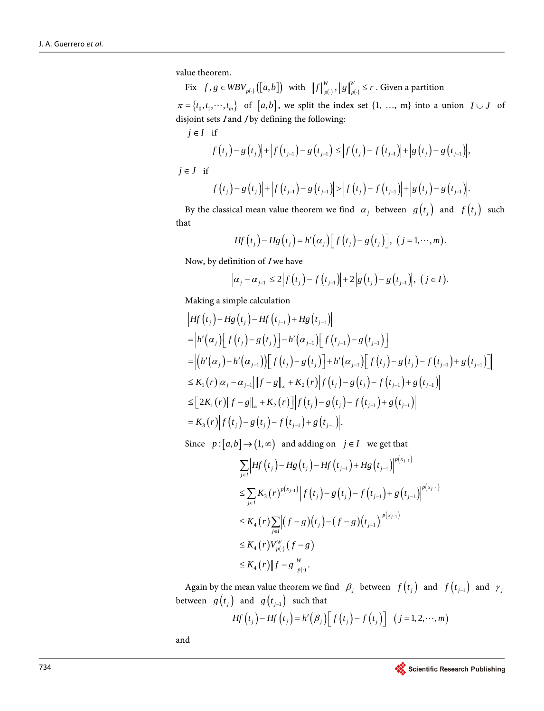value theorem.

Fix  $f, g \in WBV_{p(\cdot)}([a, b])$  with  $||f||_{p(\cdot)}^W, ||g||_{p(\cdot)}^W \le r$ . Given a partition  $\pi = \{t_0, t_1, \dots, t_m\}$  of  $[a, b]$ , we split the index set  $\{1, \dots, m\}$  into a union  $I \cup J$  of disjoint sets  $I$  and  $J$  by defining the following:  $j \in I$  if

$$
\left| f(t_{j}) - g(t_{j}) \right| + \left| f(t_{j-1}) - g(t_{j-1}) \right| \leq \left| f(t_{j}) - f(t_{j-1}) \right| + \left| g(t_{j}) - g(t_{j-1}) \right|,
$$
  
\n*j*  $\in$  *J* if  
\n
$$
\left| f(t_{j}) - g(t_{j}) \right| + \left| f(t_{j-1}) - g(t_{j-1}) \right| > \left| f(t_{j}) - f(t_{j-1}) \right| + \left| g(t_{j}) - g(t_{j-1}) \right|.
$$

By the classical mean value theorem we find  $\alpha_j$  between  $g(t_j)$  and  $f(t_j)$  such that

$$
Hf(t_j)-Hg(t_j)=h'(a_j)[f(t_j)-g(t_j)], (j=1,\cdots,m).
$$

Now, by definition of  $I$  we have

$$
|\alpha_j - \alpha_{j-1}| \leq 2 |f(t_j) - f(t_{j-1})| + 2 |g(t_j) - g(t_{j-1})|, (j \in I).
$$

Making a simple calculation

$$
\begin{aligned}\n\left| Hf(t_{j}) - Hg(t_{j}) - Hf(t_{j-1}) + Hg(t_{j-1}) \right| \\
&= \left| h'(a_{j}) \Big[ f(t_{j}) - g(t_{j}) \Big] - h'(a_{j-1}) \Big[ f(t_{j-1}) - g(t_{j-1}) \Big] \right| \\
&= \left| \left( h'(a_{j}) - h'(a_{j-1}) \right) \Big[ f(t_{j}) - g(t_{j}) \Big] + h'(a_{j-1}) \Big[ f(t_{j}) - g(t_{j}) - f(t_{j-1}) + g(t_{j-1}) \Big] \right| \\
&\leq K_{1}(r) \left| a_{j} - a_{j-1} \right| \left\| f - g \right\|_{\infty} + K_{2}(r) \left| f(t_{j}) - g(t_{j}) - f(t_{j-1}) + g(t_{j-1}) \right| \\
&\leq \Big[ 2K_{1}(r) \left\| f - g \right\|_{\infty} + K_{2}(r) \Big] \left| f(t_{j}) - g(t_{j}) - f(t_{j-1}) + g(t_{j-1}) \right| \\
&= K_{3}(r) \left| f(t_{j}) - g(t_{j}) - f(t_{j-1}) + g(t_{j-1}) \right|.\n\end{aligned}
$$

Since  $p : [a,b] \rightarrow (1,\infty)$  and adding on  $j \in I$  we get that

$$
\sum_{j\in I} \left| Hf(t_j) - Hg(t_j) - Hf(t_{j-1}) + Hg(t_{j-1}) \right|^{p(x_{j-1})}
$$
\n
$$
\leq \sum_{j\in I} K_3(r)^{p(x_{j-1})} \left| f(t_j) - g(t_j) - f(t_{j-1}) + g(t_{j-1}) \right|^{p(x_{j-1})}
$$
\n
$$
\leq K_4(r) \sum_{j\in I} \left| (f-g)(t_j) - (f-g)(t_{j-1}) \right|^{p(x_{j-1})}
$$
\n
$$
\leq K_4(r) V_{p(\cdot)}^W (f-g)
$$
\n
$$
\leq K_4(r) \|f-g\|_{p(\cdot)}^W.
$$

Again by the mean value theorem we find  $\beta_j$  between  $f(t_j)$  and  $f(t_{j-1})$  and  $\gamma_j$ between  $g(t_j)$  and  $g(t_{j-1})$  such that

$$
Hf(t_j) - Hf(t_j) = h'(\beta_j) \Big[ f(t_j) - f(t_j) \Big] (j = 1, 2, \cdots, m)
$$

and

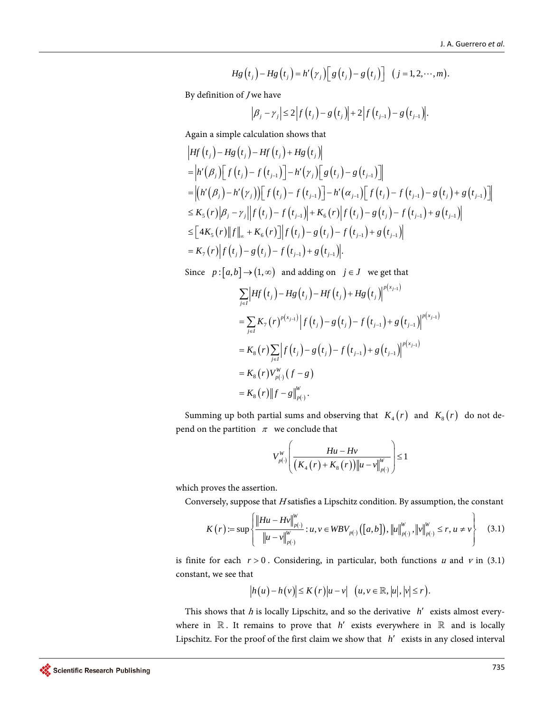$$
Hg(t_j)-Hg(t_j)=h'(y_j)\Big[g(t_j)-g(t_j)\Big] (j=1,2,\cdots,m).
$$

By definition of *J* we have

$$
\left|\beta_j-\gamma_j\right|\leq 2\left|f\left(t_j\right)-g\left(t_j\right)\right|+2\left|f\left(t_{j-1}\right)-g\left(t_{j-1}\right)\right|.
$$

Again a simple calculation shows that

$$
\begin{aligned}\n&\left| Hf(t_{j}) - Hg(t_{j}) - Hf(t_{j}) + Hg(t_{j}) \right| \\
&= \left| h'(\beta_{j}) \Big[ f(t_{j}) - f(t_{j-1}) \Big] - h'(\gamma_{j}) \Big[ g(t_{j}) - g(t_{j-1}) \Big] \right| \\
&= \left| \left( h'(\beta_{j}) - h'(\gamma_{j}) \right) \Big[ f(t_{j}) - f(t_{j-1}) \Big] - h'(\alpha_{j-1}) \Big[ f(t_{j}) - f(t_{j-1}) - g(t_{j}) + g(t_{j-1}) \Big] \right| \\
&\leq K_{5}(r) \left| \beta_{j} - \gamma_{j} \right| \left| f(t_{j}) - f(t_{j-1}) \right| + K_{6}(r) \left| f(t_{j}) - g(t_{j}) - f(t_{j-1}) + g(t_{j-1}) \right| \\
&\leq \Big[ 4K_{5}(r) \| f \|_{\infty} + K_{6}(r) \Big] \left| f(t_{j}) - g(t_{j}) - f(t_{j-1}) + g(t_{j-1}) \right| \\
&= K_{7}(r) \left| f(t_{j}) - g(t_{j}) - f(t_{j-1}) + g(t_{j-1}) \right|.\n\end{aligned}
$$

Since  $p : [a,b] \rightarrow (1,\infty)$  and adding on  $j \in J$  we get that

*W*

$$
\sum_{j\in I} \left| Hf(t_j) - Hg(t_j) - Hf(t_j) + Hg(t_j) \right|^{p(x_{j-1})}
$$
\n
$$
= \sum_{j\in I} K_{\tau}(r)^{p(x_{j-1})} \left| f(t_j) - g(t_j) - f(t_{j-1}) + g(t_{j-1}) \right|^{p(x_{j-1})}
$$
\n
$$
= K_8(r) \sum_{j\in I} \left| f(t_j) - g(t_j) - f(t_{j-1}) + g(t_{j-1}) \right|^{p(x_{j-1})}
$$
\n
$$
= K_8(r) V_{p(\cdot)}^W(f - g)
$$
\n
$$
= K_8(r) \|f - g\|_{p(\cdot)}^W.
$$

Summing up both partial sums and observing that  $K_4(r)$  and  $K_8(r)$  do not depend on the partition  $\pi$  we conclude that

$$
V_{p(\cdot)}^{W}\left(\frac{Hu - Hv}{\left(K_4(r) + K_8(r)\right) ||u - v||_{p(\cdot)}^{W}}\right) \le 1
$$

which proves the assertion.

Conversely, suppose that  $H$  satisfies a Lipschitz condition. By assumption, the constant

$$
K(r) := \sup \left\{ \frac{\left\|Hu - Hv\right\|_{p(\cdot)}^W}{\left\|u - v\right\|_{p(\cdot)}^W} : u, v \in WBV_{p(\cdot)}([a, b]), \left\|u\right\|_{p(\cdot)}^W, \left\|v\right\|_{p(\cdot)}^W \le r, u \neq v \right\}
$$
(3.1)

is finite for each  $r > 0$ . Considering, in particular, both functions u and v in (3.1) constant, we see that

$$
|h(u)-h(v)|\leq K(r)|u-v| \quad (u,v\in\mathbb{R},|u|,|v|\leq r).
$$

This shows that <sup>h</sup> is locally Lipschitz, and so the derivative *h*′ exists almost everywhere in  $\mathbb R$ . It remains to prove that *h'* exists everywhere in  $\mathbb R$  and is locally Lipschitz. For the proof of the first claim we show that *h*′ exists in any closed interval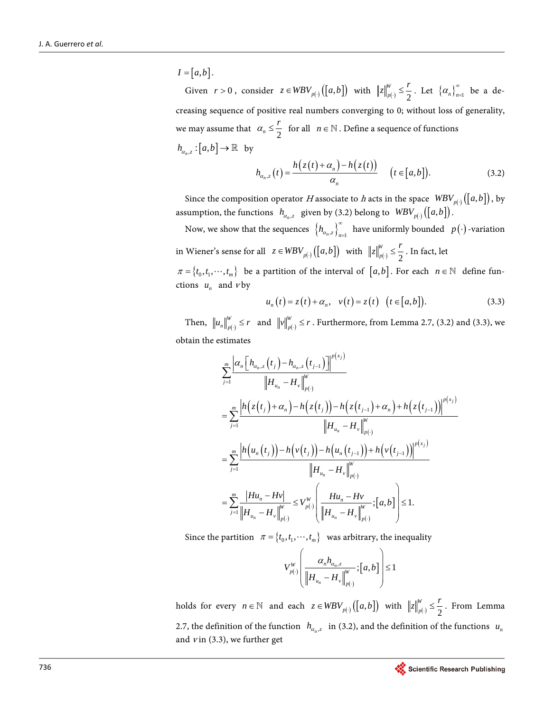$I = [a, b]$ . Given  $r > 0$ , consider  $z \in WBV_{p(\cdot)}([a, b])$  with  $||z||_{p(\cdot)}^W \leq \frac{r}{2}$  $||z||_{p(\cdot)}^W \leq \frac{r}{2}$ . Let  $\left\{ \alpha_n \right\}_{n=1}^{\infty}$  be a decreasing sequence of positive real numbers converging to 0; without loss of generality, we may assume that  $\alpha_n \leq \frac{r}{2}$  for all  $n \in \mathbb{N}$ . Define a sequence of functions  $h_{a_n,z} : [a,b] \to \mathbb{R}$  by

$$
h_{\alpha_n,z}(t) = \frac{h(z(t) + \alpha_n) - h(z(t))}{\alpha_n} \quad (t \in [a,b]).
$$
 (3.2)

Since the composition operator H associate to h acts in the space  $WBV_{p(\cdot)}([a, b])$ , by assumption, the functions  $h_{\alpha_n,z}$  given by (3.2) belong to  $WBV_{p(\cdot)}([a,b])$ .

Now, we show that the sequences  $\left\{ h_{\alpha_n,z} \right\}_{n=1}^{\infty}$  have uniformly bounded  $p(\cdot)$ -variation in Wiener's sense for all  $z \in WBV_{p(\cdot)}([a, b])$  with  $||z||_{p(\cdot)}^W \leq \frac{r}{2}$ *p*  $z\Big\|_{p(\cdot)}^W \leq \frac{r}{2}$ . In fact, let  $\pi = \{t_0, t_1, \dots, t_m\}$  be a partition of the interval of  $[a, b]$ . For each  $n \in \mathbb{N}$  define functions  $u_n$  and vby

$$
u_n(t) = z(t) + \alpha_n, \quad v(t) = z(t) \quad (t \in [a, b]). \tag{3.3}
$$

Then,  $\left\| u_n \right\|_{p(\cdot)}^W \leq r$  and  $\left\| v \right\|_{p(\cdot)}^W \leq r$ . Furthermore, from Lemma 2.7, (3.2) and (3.3), we obtain the estimates

$$
\sum_{j=1}^{m} \frac{\left| \alpha_{n} \left[ h_{\alpha_{n},z} (t_{j}) - h_{\alpha_{n},z} (t_{j-1}) \right] \right|^{p(x_{j})}}{\left\| H_{u_{n}} - H_{\nu} \right\|_{p(\cdot)}^{W}}
$$
\n
$$
= \sum_{j=1}^{m} \frac{\left| h \left( z(t_{j}) + \alpha_{n} \right) - h \left( z(t_{j}) \right) - h \left( z(t_{j-1}) + \alpha_{n} \right) + h \left( z(t_{j-1}) \right) \right|^{p(x_{j})}}{\left\| H_{u_{n}} - H_{\nu} \right\|_{p(\cdot)}^{W}}
$$
\n
$$
= \sum_{j=1}^{m} \frac{\left| h \left( u_{n}(t_{j}) \right) - h \left( v(t_{j}) \right) - h \left( u_{n}(t_{j-1}) \right) + h \left( v(t_{j-1}) \right) \right|^{p(x_{j})}}{\left\| H_{u_{n}} - H_{\nu} \right\|_{p(\cdot)}^{W}}
$$
\n
$$
= \sum_{j=1}^{m} \frac{\left| Hu_{n} - Hv \right|}{\left\| H_{u_{n}} - H_{\nu} \right\|_{p(\cdot)}^{W}} \leq V_{p(\cdot)}^{W} \left( \frac{Hu_{n} - Hv}{\left\| H_{u_{n}} - H_{\nu} \right\|_{p(\cdot)}^{W}}; [a, b] \right) \leq 1.
$$

Since the partition  $\pi = \{t_0, t_1, \dots, t_m\}$  was arbitrary, the inequality

$$
V_{p(\cdot)}^{W} \left( \frac{\alpha_{n} h_{\alpha_{n},z}}{\left\| H_{u_{n}} - H_{v} \right\|_{p(\cdot)}^{W}}; [a,b] \right) \leq 1
$$

holds for every  $n \in \mathbb{N}$  and each  $z \in WBV_{p(\cdot)}([a, b])$  with  $||z||_{p(\cdot)}^W \leq \frac{r}{2}$  $||z||_{p(\cdot)}^W \leq \frac{r}{2}$ . From Lemma 2.7, the definition of the function  $h_{\alpha_n,z}$  in (3.2), and the definition of the functions  $u_n$ and  $v$  in (3.3), we further get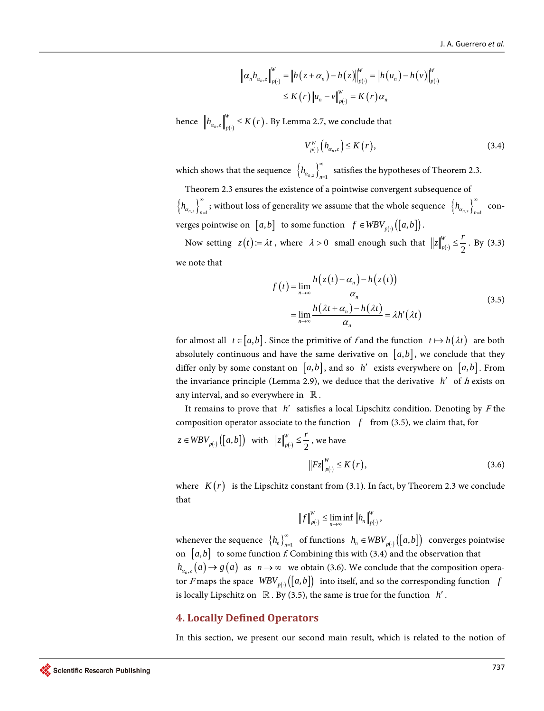$$
\| \alpha_n h_{\alpha_n, z} \|^W_{p(\cdot)} = \| h(z + \alpha_n) - h(z) \|^W_{p(\cdot)} = \| h(u_n) - h(v) \|^W_{p(\cdot)}
$$
  

$$
\leq K(r) \| u_n - v \|^W_{p(\cdot)} = K(r) \alpha_n
$$

hence  $\left\| h_{\alpha_n,z} \right\|_{p(\cdot)}^W \le K(r)$  . By Lemma 2.7, we conclude that

$$
V_{p(\cdot)}^W\left(h_{\alpha_n,z}\right) \le K\left(r\right),\tag{3.4}
$$

which shows that the sequence  $\left\{ h_{\alpha_{n,z}} \right\}_{n=1}^{\infty}$ satisfies the hypotheses of Theorem 2.3.

Theorem 2.3 ensures the existence of a pointwise convergent subsequence of  $\left\{ h_{\alpha_{n,z}} \right\}_{n=1}^{\infty}$  $\sum_{j=1}^{\infty}$  ; without loss of generality we assume that the whole sequence  $\,\,\left\{h_{\alpha_{n,z}}\right\}_{n=1}^{\infty}\,$  $\sum_{n=1}^{\infty}$ verges pointwise on  $[a, b]$  to some function  $f \in WBV_{p(\cdot)}([a, b])$ .

Now setting  $z(t) = \lambda t$ , where  $\lambda > 0$  small enough such that  $||z||_{p(\cdot)}^W \leq \frac{r}{2}$  $z\Big|_{p(\cdot)}^W \leq \frac{r}{2}$ . By (3.3) we note that

$$
f(t) = \lim_{n \to \infty} \frac{h(z(t) + \alpha_n) - h(z(t))}{\alpha_n}
$$
  
= 
$$
\lim_{n \to \infty} \frac{h(\lambda t + \alpha_n) - h(\lambda t)}{\alpha_n} = \lambda h'(\lambda t)
$$
 (3.5)

for almost all  $t \in [a, b]$ . Since the primitive of f and the function  $t \mapsto h(\lambda t)$  are both absolutely continuous and have the same derivative on  $[a,b]$ , we conclude that they differ only by some constant on  $[a,b]$ , and so *h'* exists everywhere on  $[a,b]$ . From the invariance principle (Lemma 2.9), we deduce that the derivative *h*′ of <sup>h</sup> exists on any interval, and so everywhere in  $\mathbb R$ .

It remains to prove that *h*′ satisfies a local Lipschitz condition. Denoting by <sup>F</sup> the composition operator associate to the function  $f$  from (3.5), we claim that, for

$$
z \in WBV_{p(\cdot)}([a, b]) \quad \text{with} \quad ||z||_{p(\cdot)}^W \leq \frac{r}{2}, \text{ we have}
$$
\n
$$
||Fz||_{p(\cdot)}^W \leq K(r),
$$
\n(3.6)

where  $K(r)$  is the Lipschitz constant from (3.1). In fact, by Theorem 2.3 we conclude that

$$
\left\|f\right\|_{p(\cdot)}^W \leq \lim_{n\to\infty} \inf \left\|h_n\right\|_{p(\cdot)}^W,
$$

whenever the sequence  $\{h_n\}_{n=1}^{\infty}$  of functions  $h_n \in WBV_{p(\cdot)}([a, b])$  converges pointwise on  $[a,b]$  to some function f. Combining this with (3.4) and the observation that  $h_{a_{n+1}}(a) \to g(a)$  as  $n \to \infty$  we obtain (3.6). We conclude that the composition operator F maps the space  $WBV_{p(\cdot)}([a, b])$  into itself, and so the corresponding function *f* is locally Lipschitz on  $\mathbb R$ . By (3.5), the same is true for the function  $h'$ .

## **4. Locally Defined Operators**

In this section, we present our second main result, which is related to the notion of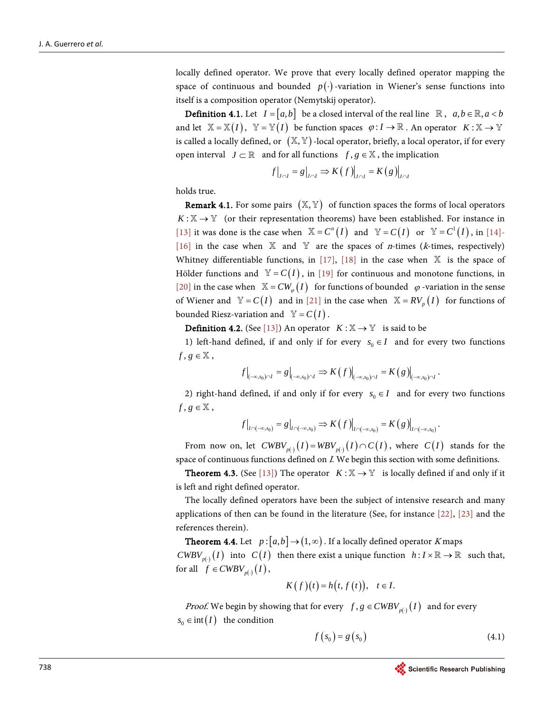locally defined operator. We prove that every locally defined operator mapping the space of continuous and bounded  $p(\cdot)$ -variation in Wiener's sense functions into itself is a composition operator (Nemytskij operator).

**Definition 4.1.** Let  $I = [a, b]$  be a closed interval of the real line  $\mathbb{R}$ ,  $a, b \in \mathbb{R}$ ,  $a < b$ and let  $\mathbb{X} = \mathbb{X}(I)$ ,  $\mathbb{Y} = \mathbb{Y}(I)$  be function spaces  $\varphi : I \to \mathbb{R}$ . An operator  $K : \mathbb{X} \to \mathbb{Y}$ is called a locally defined, or  $(X, Y)$  -local operator, briefly, a local operator, if for every open interval  $J \subset \mathbb{R}$  and for all functions  $f, g \in \mathbb{X}$ , the implication

$$
f\big|_{J \cap I} = g\big|_{J \cap I} \Rightarrow K(f)\big|_{J \cap I} = K(g)\big|_{J \cap I}
$$

holds true.

**Remark 4.1.** For some pairs  $(X, Y)$  of function spaces the forms of local operators  $K:\mathbb{X}\to\mathbb{Y}$  (or their representation theorems) have been established. For instance in [\[13\]](#page-16-10) it was done is the case when  $\mathbb{X} = C^n(I)$  and  $\mathbb{Y} = C(I)$  or  $\mathbb{Y} = C^1(I)$ , in [\[14\]-](#page-16-11) [\[16\]](#page-16-12) in the case when  $X$  and  $Y$  are the spaces of *n*-times (*k*-times, respectively) Whitney differentiable functions, in [\[17\],](#page-16-13) [\[18\]](#page-16-14) in the case when  $\mathbb{X}$  is the space of Hölder functions and  $\mathbb{Y} = C(I)$ , in [\[19\]](#page-16-15) for continuous and monotone functions, in [\[20\]](#page-16-16) in the case when  $\mathbb{X} = CW_{\omega}(I)$  for functions of bounded  $\varphi$ -variation in the sense of Wiener and  $\mathbb{Y} = C(I)$  and in [\[21\]](#page-16-17) in the case when  $\mathbb{X} = RV_p(I)$  for functions of bounded Riesz-variation and  $V = C(I)$ .

**Definition 4.2.** (See [\[13\]\)](#page-16-10) An operator  $K : \mathbb{X} \to \mathbb{Y}$  is said to be

1) left-hand defined, if and only if for every  $s_0 \in I$  and for every two functions  $f, g \in \mathbb{X}$ ,

$$
f\big|_{(-\infty,s_0)\cap I}=g\big|_{(-\infty,s_0)\cap I}\Rightarrow K(f)\big|_{(-\infty,s_0)\cap I}=K(g)\big|_{(-\infty,s_0)\cap I}.
$$

2) right-hand defined, if and only if for every  $s_0 \in I$  and for every two functions  $f, g \in \mathbb{X}$ ,

$$
f\big|_{I\cap(-\infty,s_0)}=g\big|_{I\cap(-\infty,s_0)}\Rightarrow K(f)\big|_{I\cap(-\infty,s_0)}=K(g)\big|_{I\cap(-\infty,s_0)}.
$$

From now on, let  $CWBV_{n}^{-1}(I) = WBV_{n-1}^{-1}(I) \cap C(I)$ , where  $C(I)$  stands for the space of continuous functions defined on I. We begin this section with some definitions.

**Theorem 4.3.** (See [\[13\]\)](#page-16-10) The operator  $K : \mathbb{X} \to \mathbb{Y}$  is locally defined if and only if it is left and right defined operator.

The locally defined operators have been the subject of intensive research and many applications of then can be found in the literature (See, for instance [\[22\],](#page-17-0) [\[23\]](#page-17-1) and the references therein).

**Theorem 4.4.** Let  $p:[a,b] \rightarrow (1,\infty)$ . If a locally defined operator K maps  $CWBV_{p(\cdot)}(I)$  into  $C(I)$  then there exist a unique function  $h: I \times \mathbb{R} \to \mathbb{R}$  such that, for all  $f \in CWBV_{p(\cdot)}(I)$ ,

$$
K(f)(t) = h(t, f(t)), \quad t \in I.
$$

*Proof.* We begin by showing that for every  $f, g \in CWBV_{p(.)}(I)$  and for every  $s_0 \in \text{int}(I)$  the condition

$$
f\left(s_{0}\right) = g\left(s_{0}\right) \tag{4.1}
$$

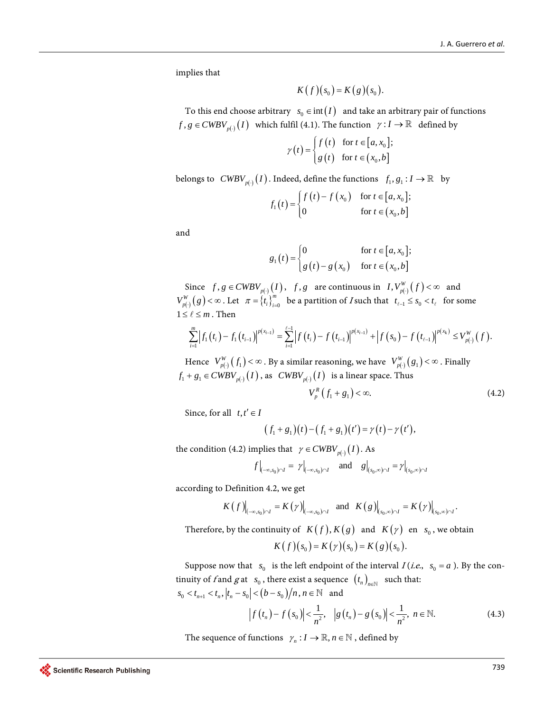implies that

$$
K(f)(s_0)=K(g)(s_0).
$$

To this end choose arbitrary  $s_0 \in \text{int}(I)$  and take an arbitrary pair of functions  $f, g \in CWBV_{p(\cdot)}(I)$  which fulfil (4.1). The function  $\gamma: I \to \mathbb{R}$  defined by

$$
\gamma(t) = \begin{cases} f(t) & \text{for } t \in [a, x_0]; \\ g(t) & \text{for } t \in (x_0, b] \end{cases}
$$

belongs to  $\text{CWBV}_{p(\cdot)}(I)$ . Indeed, define the functions  $f_1, g_1: I \to \mathbb{R}$  by

$$
f_1(t) = \begin{cases} f(t) - f(x_0) & \text{for } t \in [a, x_0]; \\ 0 & \text{for } t \in (x_0, b] \end{cases}
$$

and

$$
g_1(t) = \begin{cases} 0 & \text{for } t \in [a, x_0]; \\ g(t) - g(x_0) & \text{for } t \in (x_0, b] \end{cases}
$$

Since  $f, g \in CWBV_{p(·)}(I)$ ,  $f, g$  are continuous in  $I, V_{p(·)}^W(f) < \infty$  and  $V_{p(\cdot)}^W(g) < \infty$ . Let  $\pi = \{t_i\}_{i=0}^m$  be a partition of *I* such that  $t_{\ell-1} \leq s_0 < t_\ell$  for some  $1 \leq \ell \leq m$ . Then

$$
\sum_{i=1}^m \left| f_1(t_i) - f_1(t_{i-1}) \right|^{p(x_{i-1})} = \sum_{i=1}^{\ell-1} \left| f(t_i) - f(t_{i-1}) \right|^{p(x_{i-1})} + \left| f(s_0) - f(t_{\ell-1}) \right|^{p(x_k)} \leq V_{p(\cdot)}^W(f).
$$

Hence  $V_{p(\cdot)}^W(f_1) < \infty$ . By a similar reasoning, we have  $V_{p(\cdot)}^W(g_1) < \infty$ . Finally  $f_1 + g_1 \in CWBV_{p(\cdot)}(I)$ , as  $CWBV_{p(\cdot)}(I)$  is a linear space. Thus

$$
V_p^R(f_1 + g_1) < \infty. \tag{4.2}
$$

Since, for all  $t, t' \in I$ 

$$
(f_1+g_1)(t)-(f_1+g_1)(t')=\gamma(t)-\gamma(t'),
$$

the condition (4.2) implies that  $\gamma \in CWBV_{p(.)}(I)$ . As

$$
f\Big|_{(-\infty,s_0)\cap I}=\left.\gamma\right|_{(-\infty,s_0)\cap I}\quad\text{and}\quad\left.g\right|_{(s_0,\infty)\cap I}=\left.\gamma\right|_{(s_0,\infty)\cap I}
$$

according to Definition 4.2, we get

$$
K(f)|_{(-\infty,s_0)\cap I}=K(\gamma)|_{(-\infty,s_0)\cap I} \text{ and } K(g)|_{(s_0,\infty)\cap I}=K(\gamma)|_{(s_0,\infty)\cap I}.
$$

Therefore, by the continuity of  $K(f)$ ,  $K(g)$  and  $K(\gamma)$  en  $s_0$ , we obtain

$$
K(f)(s_0) = K(\gamma)(s_0) = K(g)(s_0).
$$

Suppose now that  $s_0$  is the left endpoint of the interval  $I(i.e., s_0 = a)$ . By the continuity of f and g at  $s_0$ , there exist a sequence  $(t_n)_{n \in \mathbb{N}}$  such that:  $| s_0 < t_{n+1} < t_n, | t_n - s_0 | < (b - s_0)/n, n \in \mathbb{N}$  and

$$
\left|f(t_n) - f(s_0)\right| < \frac{1}{n^2}, \quad \left|g(t_n) - g(s_0)\right| < \frac{1}{n^2}, \ n \in \mathbb{N}.\tag{4.3}
$$

The sequence of functions  $\gamma_n : I \to \mathbb{R}, n \in \mathbb{N}$ , defined by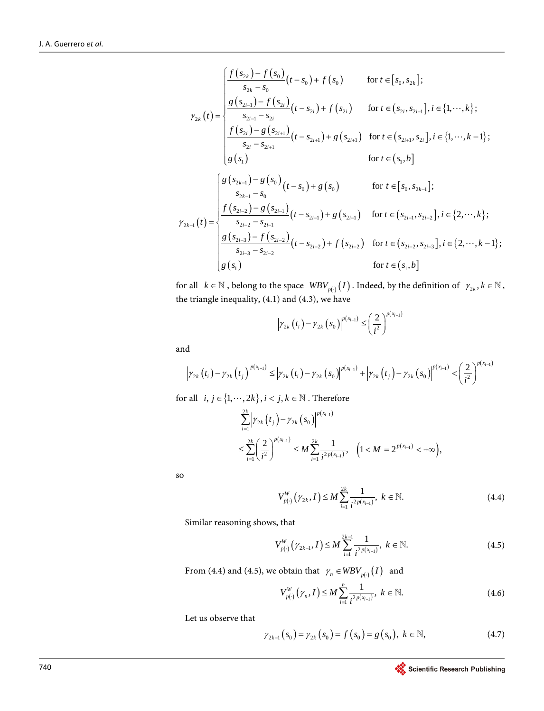$$
\gamma_{2k}(t) = \begin{cases}\n\frac{f(s_{2k}) - f(s_0)}{s_{2k} - s_0}(t - s_0) + f(s_0) & \text{for } t \in [s_0, s_{2k}]; \\
\frac{g(s_{2i-1}) - f(s_{2i})}{s_{2i-1} - s_{2i}}(t - s_{2i}) + f(s_{2i}) & \text{for } t \in (s_{2i}, s_{2i-1}], i \in \{1, \dots, k\}; \\
\frac{f(s_{2i}) - g(s_{2i+1})}{s_{2i} - s_{2i+1}}(t - s_{2i+1}) + g(s_{2i+1}) & \text{for } t \in (s_{2i+1}, s_{2i}], i \in \{1, \dots, k-1\}; \\
g(s_1) & \text{for } t \in (s_1, b]\n\end{cases}
$$
\n
$$
\gamma_{2k-1}(t) = \begin{cases}\n\frac{g(s_{2k-1}) - g(s_0)}{s_{2k-1} - s_0}(t - s_0) + g(s_0) & \text{for } t \in [s_0, s_{2k-1}]; \\
\frac{f(s_{2i-2}) - g(s_{2i-1})}{s_{2i-2} - s_{2i-1}}(t - s_{2i-1}) + g(s_{2i-1}) & \text{for } t \in (s_{2i-1}, s_{2i-2}], i \in \{2, \dots, k\}; \\
\frac{g(s_{2i-3}) - f(s_{2i-2})}{s_{2i-3} - s_{2i-2}}(t - s_{2i-2}) + f(s_{2i-2}) & \text{for } t \in (s_{2i-2}, s_{2i-3}], i \in \{2, \dots, k-1\}; \\
g(s_1) & \text{for } t \in (s_1, b]\n\end{cases}
$$

for all  $k \in \mathbb{N}$  , belong to the space  $\mathit{WBV}_{p(\cdot)}(I)$ . Indeed, by the definition of  $\gamma_{2k}$ ,  $k \in \mathbb{N}$ , the triangle inequality, (4.1) and (4.3), we have

$$
|\gamma_{2k}(t_i) - \gamma_{2k}(s_0)|^{p(x_{i-1})} \leq \left(\frac{2}{i^2}\right)^{p(x_{i-1})}
$$

and

$$
\left|\gamma_{2k}\left(t_{i}\right)-\gamma_{2k}\left(t_{j}\right)\right|^{p(x_{i-1})}\leq\left|\gamma_{2k}\left(t_{i}\right)-\gamma_{2k}\left(s_{0}\right)\right|^{p(x_{i-1})}+\left|\gamma_{2k}\left(t_{j}\right)-\gamma_{2k}\left(s_{0}\right)\right|^{p(x_{i-1})}<\left(\frac{2}{i^{2}}\right)^{p(x_{i-1})}
$$

for all  $i, j \in \{1, \dots, 2k\}, i < j, k \in \mathbb{N}$ . Therefore

$$
\sum_{i=1}^{2k} \left| \gamma_{2k} \left( t_j \right) - \gamma_{2k} \left( s_0 \right) \right|^{p(x_{i-1})} \\
\leq \sum_{i=1}^{2k} \left( \frac{2}{i^2} \right)^{p(x_{i-1})} \leq M \sum_{i=1}^{2k} \frac{1}{i^{2p(x_{i-1})}}, \quad \left( 1 < M = 2^{p(x_{i-1})} < +\infty \right),
$$

so

$$
V_{p(\cdot)}^W(\gamma_{2k}, I) \le M \sum_{i=1}^{2k} \frac{1}{i^{2p(x_{i-1})}}, \ k \in \mathbb{N}.
$$
 (4.4)

Similar reasoning shows, that

$$
V_{p(\cdot)}^W(\gamma_{2k-1}, I) \le M \sum_{i=1}^{2k-1} \frac{1}{i^{2p(x_{i-1})}}, \ k \in \mathbb{N}.
$$
 (4.5)

From (4.4) and (4.5), we obtain that  $\gamma_n \in WBV_{p()}(I)$  and

$$
V_{p(\cdot)}^W(\gamma_n, I) \le M \sum_{i=1}^n \frac{1}{i^{2p(x_{i-1})}}, \ k \in \mathbb{N}.
$$
 (4.6)

Let us observe that

$$
\gamma_{2k-1}(s_0) = \gamma_{2k}(s_0) = f(s_0) = g(s_0), \ k \in \mathbb{N},
$$
 (4.7)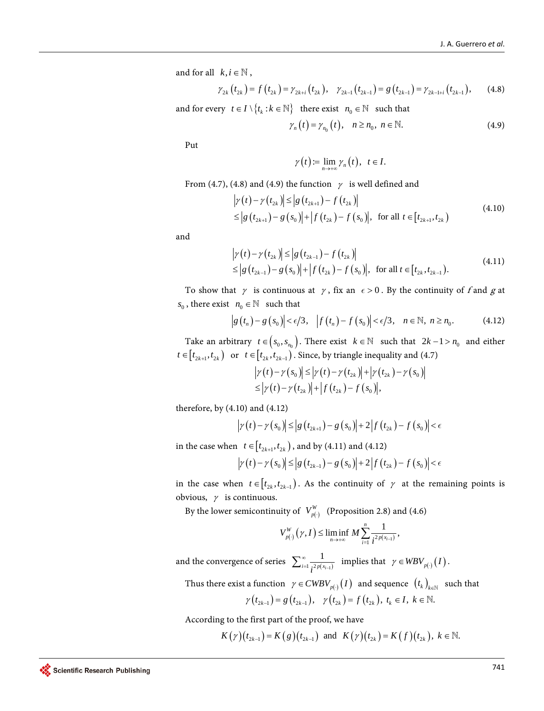and for all  $k, i \in \mathbb{N}$ ,

$$
\gamma_{2k}(t_{2k}) = f(t_{2k}) = \gamma_{2k+i}(t_{2k}), \quad \gamma_{2k-1}(t_{2k-1}) = g(t_{2k-1}) = \gamma_{2k-1+i}(t_{2k-1}), \qquad (4.8)
$$

and for every  $t \in I \setminus \{t_k : k \in \mathbb{N}\}\$  there exist  $n_0 \in \mathbb{N}$  such that

$$
\gamma_n(t) = \gamma_{n_0}(t), \quad n \ge n_0, \ n \in \mathbb{N}.
$$
 (4.9)

Put

$$
\gamma(t) := \lim_{n \to +\infty} \gamma_n(t), \ \ t \in I.
$$

From (4.7), (4.8) and (4.9) the function  $\gamma$  is well defined and

$$
\left| \gamma(t) - \gamma(t_{2k}) \right| \leq \left| g(t_{2k+1}) - f(t_{2k}) \right|
$$
  
\n
$$
\leq \left| g(t_{2k+1}) - g(s_0) \right| + \left| f(t_{2k}) - f(s_0) \right|, \text{ for all } t \in [t_{2k+1}, t_{2k})
$$
\n(4.10)

and

$$
\left|\gamma(t) - \gamma(t_{2k})\right| \leq \left|g\left(t_{2k-1}\right) - f\left(t_{2k}\right)\right|
$$
  
\n
$$
\leq \left|g\left(t_{2k-1}\right) - g\left(s_0\right)\right| + \left|f\left(t_{2k}\right) - f\left(s_0\right)\right|, \text{ for all } t \in [t_{2k}, t_{2k-1}).
$$
\n(4.11)

To show that  $\gamma$  is continuous at  $\gamma$ , fix an  $\epsilon > 0$ . By the continuity of f and g at  $s_0$ , there exist  $n_0 \in \mathbb{N}$  such that

$$
\left|g\left(t_{n}\right)-g\left(s_{0}\right)\right|<\epsilon/3,\quad\left|f\left(t_{n}\right)-f\left(s_{0}\right)\right|<\epsilon/3,\quad n\in\mathbb{N},\ n\geq n_{0}.\tag{4.12}
$$

Take an arbitrary  $t \in (s_0, s_{n_0})$ . There exist  $k \in \mathbb{N}$  such that  $2k - 1 > n_0$  and either  $t \in [t_{2k+1}, t_{2k})$  or  $t \in [t_{2k}, t_{2k-1})$ . Since, by triangle inequality and (4.7)

$$
\left|\gamma(t)-\gamma(s_0)\right|\leq \left|\gamma(t)-\gamma(t_{2k})\right|+\left|\gamma(t_{2k})-\gamma(s_0)\right|
$$
  
\n
$$
\leq \left|\gamma(t)-\gamma(t_{2k})\right|+\left|f(t_{2k})-f(s_0)\right|,
$$

therefore, by (4.10) and (4.12)

$$
|\gamma(t) - \gamma(s_0)| \le |g(t_{2k+1}) - g(s_0)| + 2|f(t_{2k}) - f(s_0)| < \epsilon
$$

in the case when  $t \in [t_{2k+1}, t_{2k})$ , and by (4.11) and (4.12)

$$
\left|\gamma(t)-\gamma(s_0)\right|\leq \left|g\left(t_{2k-1}\right)-g\left(s_0\right)\right|+2\left|f\left(t_{2k}\right)-f\left(s_0\right)\right|<\epsilon
$$

in the case when  $t \in [t_{2k}, t_{2k-1})$ . As the continuity of  $\gamma$  at the remaining points is obvious,  $\gamma$  is continuous.

By the lower semicontinuity of  $V_{p(\cdot)}^W$  (Proposition 2.8) and (4.6)

$$
V_{p(\cdot)}^W(\gamma,I) \leq \liminf_{n \to +\infty} M \sum_{i=1}^n \frac{1}{i^{2p(x_{i-1})}},
$$

and the convergence of series  $\sum_{i=1}^{\infty} \frac{1}{i^{2p(x_{i-1})}}$  $i=1$   $i^{2p(x_i-1)}$  $\sum_{i=1}^{\infty} \frac{1}{\cdot 2 p(x_{i-1})}$  implies that  $\gamma \in WBV_{p(\cdot)}(I)$ .

Thus there exist a function  $\gamma \in CWBV_{p(\cdot)}(I)$  and sequence  $(t_k)_{k \in \mathbb{N}}$  such that

$$
\gamma(t_{2k-1}) = g(t_{2k-1}), \quad \gamma(t_{2k}) = f(t_{2k}), \ t_k \in I, \ k \in \mathbb{N}.
$$

According to the first part of the proof, we have

$$
K(\gamma)(t_{2k-1}) = K(g)(t_{2k-1})
$$
 and  $K(\gamma)(t_{2k}) = K(f)(t_{2k}), k \in \mathbb{N}$ .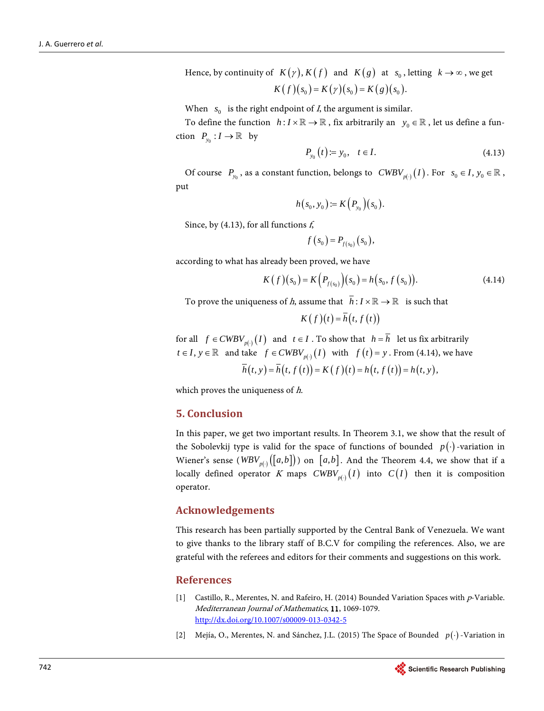Hence, by continuity of  $K(\gamma)$ ,  $K(f)$  and  $K(g)$  at  $s_0$ , letting  $k \to \infty$ , we get  $K(f)(s_0) = K(\gamma)(s_0) = K(g)(s_0).$ 

When  $s_0$  is the right endpoint of *I*, the argument is similar.

To define the function  $h: I \times \mathbb{R} \to \mathbb{R}$ , fix arbitrarily an  $y_0 \in \mathbb{R}$ , let us define a function  $P_{y_0} : I \to \mathbb{R}$  by

$$
P_{y_0}(t) = y_0, \quad t \in I. \tag{4.13}
$$

Of course  $P_{y_0}$ , as a constant function, belongs to  $CWBV_{p(\cdot)}(I)$ . For  $s_0 \in I$ ,  $y_0 \in \mathbb{R}$ , put

$$
h(s_0, y_0) = K(P_{y_0})(s_0).
$$

Since, by (4.13), for all functions  $f<sub>s</sub>$ 

$$
f(s_0) = P_{f(s_0)}(s_0),
$$

according to what has already been proved, we have

$$
K(f)(s_0) = K\Big(P_{f(s_0)}\Big)(s_0) = h(s_0, f(s_0)).
$$
\n(4.14)

To prove the uniqueness of *h*, assume that  $\overline{h}: I \times \mathbb{R} \to \mathbb{R}$  is such that

$$
K(f)(t) = \overline{h}(t, f(t))
$$

for all  $f \in CWBV_{p(\cdot)}(I)$  and  $t \in I$ . To show that  $h = \overline{h}$  let us fix arbitrarily *t* ∈ *I*, *y* ∈  $\mathbb R$  and take  $f$  ∈  $CWBV_{p(·)}(I)$  with  $f(t) = y$ . From (4.14), we have  $\overline{h}(t, y) = \overline{h}(t, f(t)) = K(f)(t) = h(t, f(t)) = h(t, y),$ 

which proves the uniqueness of h.

#### **5. Conclusion**

In this paper, we get two important results. In Theorem 3.1, we show that the result of the Sobolevkij type is valid for the space of functions of bounded  $p(\cdot)$ -variation in Wiener's sense ( $WBV_{p(\cdot)}([a,b])$ ) on [a,b]. And the Theorem 4.4, we show that if a locally defined operator K maps  $CWBV_{p(·)}(I)$  into  $C(I)$  then it is composition operator.

#### **Acknowledgements**

This research has been partially supported by the Central Bank of Venezuela. We want to give thanks to the library staff of B.C.V for compiling the references. Also, we are grateful with the referees and editors for their comments and suggestions on this work.

#### **References**

- <span id="page-15-0"></span>[1] Castillo, R., Merentes, N. and Rafeiro, H. (2014) Bounded Variation Spaces with p-Variable. Mediterranean Journal of Mathematics, 11, 1069-1079. <http://dx.doi.org/10.1007/s00009-013-0342-5>
- <span id="page-15-1"></span>[2] Mejía, O., Merentes, N. and Sánchez, J.L. (2015) The Space of Bounded *p*(⋅) -Variation in

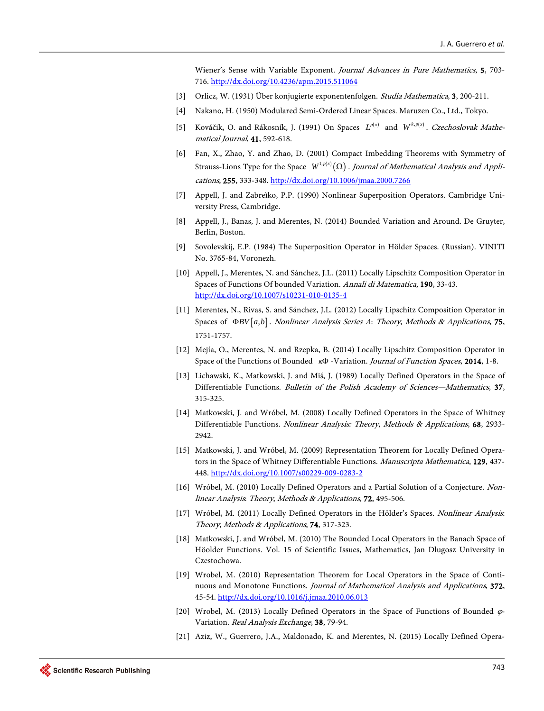Wiener's Sense with Variable Exponent. Journal Advances in Pure Mathematics, 5, 703- 716. <http://dx.doi.org/10.4236/apm.2015.511064>

- [3] Orlicz, W. (1931) Über konjugierte exponentenfolgen. Studia Mathematica, 3, 200-211.
- <span id="page-16-2"></span><span id="page-16-1"></span><span id="page-16-0"></span>[4] Nakano, H. (1950) Modulared Semi-Ordered Linear Spaces. Maruzen Co., Ltd., Tokyo.
- [5] Kováčik, O. and Rákosník, J. (1991) On Spaces  $L^{p(x)}$  and  $W^{k,p(x)}$ . Czechoslovak Mathematical Journal, 41, 592-618.
- <span id="page-16-3"></span>[6] Fan, X., Zhao, Y. and Zhao, D. (2001) Compact Imbedding Theorems with Symmetry of Strauss-Lions Type for the Space  $\; W^{1,p(x)}(\Omega )$  . *Journal of Mathematical Analysis and Appli*cations, 255, 333-348. <http://dx.doi.org/10.1006/jmaa.2000.7266>
- <span id="page-16-4"></span>[7] Appell, J. and Zabreĭko, P.P. (1990) Nonlinear Superposition Operators. Cambridge University Press, Cambridge.
- <span id="page-16-5"></span>[8] Appell, J., Banas, J. and Merentes, N. (2014) Bounded Variation and Around. De Gruyter, Berlin, Boston.
- <span id="page-16-6"></span>[9] Sovolevskij, E.P. (1984) The Superposition Operator in Hölder Spaces. (Russian). VINITI No. 3765-84, Voronezh.
- <span id="page-16-7"></span>[10] Appell, J., Merentes, N. and Sánchez, J.L. (2011) Locally Lipschitz Composition Operator in Spaces of Functions Of bounded Variation. Annali di Matematica, 190, 33-43. <http://dx.doi.org/10.1007/s10231-010-0135-4>
- <span id="page-16-8"></span>[11] Merentes, N., Rivas, S. and Sánchez, J.L. (2012) Locally Lipschitz Composition Operator in Spaces of Φ*BV* [a,b]. Nonlinear Analysis Series A: Theory, Methods & Applications, 75, 1751-1757.
- <span id="page-16-9"></span>[12] Mejía, O., Merentes, N. and Rzepka, B. (2014) Locally Lipschitz Composition Operator in Space of the Functions of Bounded κΦ -Variation. Journal of Function Spaces, 2014, 1-8.
- <span id="page-16-10"></span>[13] Lichawski, K., Matkowski, J. and Miś, J. (1989) Locally Defined Operators in the Space of Differentiable Functions. Bulletin of the Polish Academy of Sciences—Mathematics, 37, 315-325.
- <span id="page-16-11"></span>[14] Matkowski, J. and Wróbel, M. (2008) Locally Defined Operators in the Space of Whitney Differentiable Functions. Nonlinear Analysis: Theory, Methods & Applications, 68, 2933- 2942.
- [15] Matkowski, J. and Wróbel, M. (2009) Representation Theorem for Locally Defined Operators in the Space of Whitney Differentiable Functions. Manuscripta Mathematica, 129, 437-448. <http://dx.doi.org/10.1007/s00229-009-0283-2>
- <span id="page-16-12"></span>[16] Wróbel, M. (2010) Locally Defined Operators and a Partial Solution of a Conjecture. Nonlinear Analysis: Theory, Methods & Applications, 72, 495-506.
- <span id="page-16-13"></span>[17] Wróbel, M. (2011) Locally Defined Operators in the Hölder's Spaces. Nonlinear Analysis: Theory, Methods & Applications, 74, 317-323.
- <span id="page-16-14"></span>[18] Matkowski, J. and Wróbel, M. (2010) The Bounded Local Operators in the Banach Space of Höolder Functions. Vol. 15 of Scientific Issues, Mathematics, Jan Dlugosz University in Czestochowa.
- <span id="page-16-15"></span>[19] Wrobel, M. (2010) Representation Theorem for Local Operators in the Space of Continuous and Monotone Functions. Journal of Mathematical Analysis and Applications, 372, 45-54. <http://dx.doi.org/10.1016/j.jmaa.2010.06.013>
- <span id="page-16-16"></span>[20] Wrobel, M. (2013) Locally Defined Operators in the Space of Functions of Bounded  $\varphi$ -Variation. Real Analysis Exchange, 38, 79-94.
- <span id="page-16-17"></span>[21] Aziz, W., Guerrero, J.A., Maldonado, K. and Merentes, N. (2015) Locally Defined Opera-